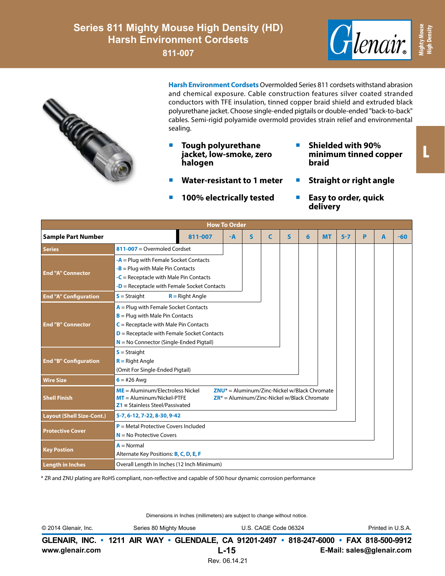## **Series 811 Mighty Mouse High Density (HD) Harsh Environment Cordsets**

**811-007**





**Harsh Environment Cordsets** Overmolded Series 811 cordsets withstand abrasion and chemical exposure. Cable construction features silver coated stranded conductors with TFE insulation, tinned copper braid shield and extruded black polyurethane jacket. Choose single-ended pigtails or double-ended "back-to-back" cables. Semi-rigid polyamide overmold provides strain relief and environmental sealing.

- **Tough polyurethane jacket, low-smoke, zero halogen**
- **Water-resistant to 1 meter**
- **100% electrically tested**
- **Shielded with 90% minimum tinned copper braid**
- **Straight or right angle**
- **Easy to order, quick delivery**

| <b>How To Order</b>              |                                                                                                                                                                                                                      |                   |      |   |   |              |   |           |         |   |   |       |
|----------------------------------|----------------------------------------------------------------------------------------------------------------------------------------------------------------------------------------------------------------------|-------------------|------|---|---|--------------|---|-----------|---------|---|---|-------|
| <b>Sample Part Number</b>        |                                                                                                                                                                                                                      | 811-007           | $-A$ | S | C | $\mathsf{s}$ | 6 | <b>MT</b> | $5 - 7$ | P | A | $-60$ |
| <b>Series</b>                    | $811-007 =$ Overmoled Cordset                                                                                                                                                                                        |                   |      |   |   |              |   |           |         |   |   |       |
| <b>End "A" Connector</b>         | $-A =$ Plug with Female Socket Contacts<br>$-B =$ Plug with Male Pin Contacts<br>$-C$ = Receptacle with Male Pin Contacts<br>$-D$ = Receptacle with Female Socket Contacts                                           |                   |      |   |   |              |   |           |         |   |   |       |
| <b>End "A" Configuration</b>     | $S =$ Straight                                                                                                                                                                                                       | $R =$ Right Angle |      |   |   |              |   |           |         |   |   |       |
| <b>End "B" Connector</b>         | $A =$ Plug with Female Socket Contacts<br>$B =$ Plug with Male Pin Contacts<br>$C$ = Receptacle with Male Pin Contacts<br>$D$ = Receptacle with Female Socket Contacts<br>$N = No$ Connector (Single-Ended Pigtail)  |                   |      |   |   |              |   |           |         |   |   |       |
| <b>End "B" Configuration</b>     | $S =$ Straight<br>$R =$ Right Angle<br>(Omit For Single-Ended Pigtail)                                                                                                                                               |                   |      |   |   |              |   |           |         |   |   |       |
| <b>Wire Size</b>                 | $6 = #26$ Awg                                                                                                                                                                                                        |                   |      |   |   |              |   |           |         |   |   |       |
| <b>Shell Finish</b>              | $ME =$ Aluminum/Electroless Nickel<br>$ZNU^*$ = Aluminum/Zinc-Nickel w/Black Chromate<br>$MT =$ Aluminum/Nickel-PTFE<br>$\mathsf{ZR}^*$ = Aluminum/Zinc-Nickel w/Black Chromate<br>$Z1 =$ Stainless Steel/Passivated |                   |      |   |   |              |   |           |         |   |   |       |
| <b>Layout (Shell Size-Cont.)</b> | 5-7, 6-12, 7-22, 8-30, 9-42                                                                                                                                                                                          |                   |      |   |   |              |   |           |         |   |   |       |
| <b>Protective Cover</b>          | $P =$ Metal Protective Covers Included<br>$N = No$ Protective Covers                                                                                                                                                 |                   |      |   |   |              |   |           |         |   |   |       |
| <b>Key Postion</b>               | $A = Normal$<br>Alternate Key Positions: B, C, D, E, F                                                                                                                                                               |                   |      |   |   |              |   |           |         |   |   |       |
| <b>Length in Inches</b>          | Overall Length In Inches (12 Inch Minimum)                                                                                                                                                                           |                   |      |   |   |              |   |           |         |   |   |       |

\* ZR and ZNU plating are RoHS compliant, non-reflective and capable of 500 hour dynamic corrosion performance

Dimensions in Inches (millimeters) are subject to change without notice.

**GLENAIR, INC. • 1211 AIR WAY • GLENDALE, CA 91201-2497 • 818-247-6000 • FAX 818-500-9912 L-15** © 2014 Glenair, Inc. Series 80 Mighty Mouse U.S. CAGE Code 06324 Printed in U.S.A.

L

**Mighty Mouse High Density**

**www.glenair.com E-Mail: sales@glenair.com**